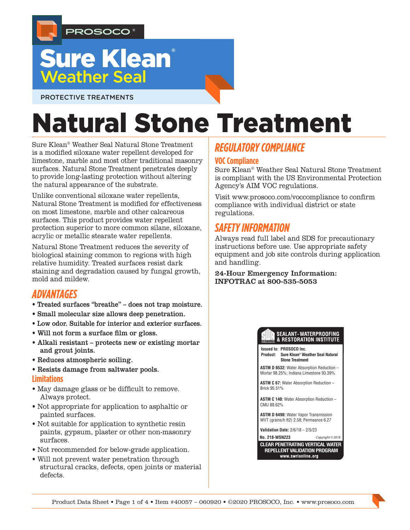

## **Sure Klean**® **Weather Seal**

PROTECTIVE TREATMENTS

# Natural Stone Treatment

Sure Klean® Weather Seal Natural Stone Treatment is a modified siloxane water repellent developed for limestone, marble and most other traditional masonry surfaces. Natural Stone Treatment penetrates deeply to provide long-lasting protection without altering the natural appearance of the substrate.

Unlike conventional siloxane water repellents, Natural Stone Treatment is modified for effectiveness on most limestone, marble and other calcareous surfaces. This product provides water repellent protection superior to more common silane, siloxane, acrylic or metallic stearate water repellents.

Natural Stone Treatment reduces the severity of biological staining common to regions with high relative humidity. Treated surfaces resist dark staining and degradation caused by fungal growth, mold and mildew.

## *ADVANTAGES*

- Treated surfaces "breathe" does not trap moisture.
- Small molecular size allows deep penetration.
- Low odor. Suitable for interior and exterior surfaces.
- Will not form a surface film or gloss.
- Alkali resistant protects new or existing mortar and grout joints.
- Reduces atmospheric soiling.
- Resists damage from saltwater pools. **Limitations**
- May damage glass or be difficult to remove. Always protect.
- Not appropriate for application to asphaltic or painted surfaces.
- Not suitable for application to synthetic resin paints, gypsum, plaster or other non-masonry surfaces.
- Not recommended for below-grade application.
- Will not prevent water penetration through structural cracks, defects, open joints or material defects.

## *REGULATORY COMPLIANCE*

#### **VOC Compliance**

Sure Klean® Weather Seal Natural Stone Treatment is compliant with the US Environmental Protection Agency's AIM VOC regulations.

Visit www.prosoco.com/voccompliance to confirm compliance with individual district or state regulations.

## *SAFETY INFORMATION*

Always read full label and SDS for precautionary instructions before use. Use appropriate safety equipment and job site controls during application and handling.

24-Hour Emergency Information: INFOTRAC at 800-535-5053

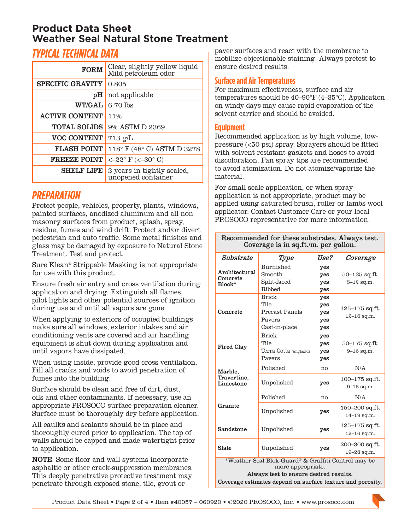## **Product Data Sheet Weather Seal Natural Stone Treatment**

## *TYPICAL TECHNICAL DATA*

| <b>FORM</b>             | Clear, slightly yellow liquid<br>Mild petroleum odor |  |  |
|-------------------------|------------------------------------------------------|--|--|
| <b>SPECIFIC GRAVITY</b> | 0.805                                                |  |  |
| pH                      | not applicable                                       |  |  |
| <b>WT/GAL</b>           | 6.70 lbs                                             |  |  |
| <b>ACTIVE CONTENT</b>   | 11%                                                  |  |  |
| <b>TOTAL SOLIDS</b>     | 9% ASTM D 2369                                       |  |  |
| <b>VOC CONTENT</b>      | $713$ g/L                                            |  |  |
| <b>FLASH POINT</b>      | 118° F (48° C) ASTM D 3278                           |  |  |
| <b>FREEZE POINT</b>     | $<-22^{\circ}$ F (<-30° C)                           |  |  |
| <b>SHELF LIFE</b>       | 2 years in tightly sealed,<br>unopened container     |  |  |

## *PREPARATION*

Protect people, vehicles, property, plants, windows, painted surfaces, anodized aluminum and all non masonry surfaces from product, splash, spray, residue, fumes and wind drift. Protect and/or divert pedestrian and auto traffic. Some metal finishes and glass may be damaged by exposure to Natural Stone Treatment. Test and protect.

Sure Klean® Strippable Masking is not appropriate for use with this product.

Ensure fresh air entry and cross ventilation during application and drying. Extinguish all flames, pilot lights and other potential sources of ignition during use and until all vapors are gone.

When applying to exteriors of occupied buildings make sure all windows, exterior intakes and air conditioning vents are covered and air handling equipment is shut down during application and until vapors have dissipated.

When using inside, provide good cross ventilation. Fill all cracks and voids to avoid penetration of fumes into the building.

Surface should be clean and free of dirt, dust, oils and other contaminants. If necessary, use an appropriate PROSOCO surface preparation cleaner. Surface must be thoroughly dry before application.

All caulks and sealants should be in place and thoroughly cured prior to application. The top of walls should be capped and made watertight prior to application.

NOTE: Some floor and wall systems incorporate asphaltic or other crack-suppression membranes. This deeply penetrative protective treatment may penetrate through exposed stone, tile, grout or

paver surfaces and react with the membrane to mobilize objectionable staining. Always pretest to ensure desired results.

#### **Surface and Air Temperatures**

For maximum effectiveness, surface and air temperatures should be 40–90°F (4–35°C). Application on windy days may cause rapid evaporation of the solvent carrier and should be avoided.

#### **Equipment**

Recommended application is by high volume, lowpressure (<50 psi) spray. Sprayers should be fitted with solvent-resistant gaskets and hoses to avoid discoloration. Fan spray tips are recommended to avoid atomization. Do not atomize/vaporize the material.

For small scale application, or when spray application is not appropriate, product may be applied using saturated brush, roller or lambs wool applicator. Contact Customer Care or your local PROSOCO representative for more information.

| Substrate                                           | Type                   | Use? | Coverage                              |  |
|-----------------------------------------------------|------------------------|------|---------------------------------------|--|
| Architectural<br>Concrete<br>Block*                 | Burnished              | yes  |                                       |  |
|                                                     | Smooth                 | yes  | $50 - 125$ sq.ft.                     |  |
|                                                     | Split-faced            | yes  | $5 - 12$ sq.m.                        |  |
|                                                     | Ribbed                 | yes  |                                       |  |
| Concrete                                            | <b>Brick</b>           | yes  |                                       |  |
|                                                     | Tile                   | yes  | $125 - 175$ sq.ft.<br>$12 - 16$ sq.m. |  |
|                                                     | Precast Panels         | yes  |                                       |  |
|                                                     | Payers                 | yes  |                                       |  |
|                                                     | Cast-in-place          | yes  |                                       |  |
| <b>Fired Clay</b>                                   | <b>Brick</b>           | yes  |                                       |  |
|                                                     | Tile                   | yes  | $50 - 175$ sq.ft.                     |  |
|                                                     | Terra Cotta (unglazed) | yes  | $9 - 16$ sq.m.                        |  |
|                                                     | Pavers                 | yes  |                                       |  |
| Marble,<br>Travertine.<br>Limestone                 | Polished               | no   | N/A                                   |  |
|                                                     | Unpolished             | yes  | $100 - 175$ sq.ft.                    |  |
|                                                     |                        |      | $9 - 16$ sq.m.                        |  |
| Granite                                             | Polished               | no   | N/A                                   |  |
|                                                     | Unpolished             | yes  | 150–200 sq.ft.                        |  |
|                                                     |                        |      | $14 - 19$ sq.m.                       |  |
| Sandstone                                           | Unpolished             | yes  | $125 - 175$ sq.ft.                    |  |
|                                                     |                        |      | $12 - 16$ sq.m.                       |  |
| Slate                                               | Unpolished             | yes  | 200–300 sq.ft.                        |  |
|                                                     |                        |      | 19-28 sq.m.                           |  |
| *Weather Seal Blok-Guard® & Graffiti Control may be |                        |      |                                       |  |
|                                                     | more appropriate.      |      |                                       |  |

Always test to ensure desired results. Coverage estimates depend on surface texture and porosity.

#### Recommended for these substrates. Always test. Coverage is in sq.ft./m. per gallon.

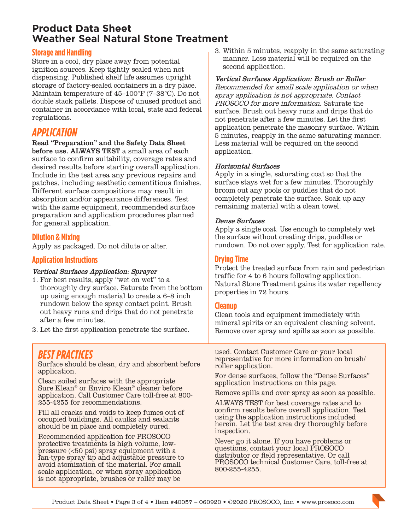## **Product Data Sheet Weather Seal Natural Stone Treatment**

#### **Storage and Handling**

Store in a cool, dry place away from potential ignition sources. Keep tightly sealed when not dispensing. Published shelf life assumes upright storage of factory-sealed containers in a dry place. Maintain temperature of 45–100°F (7–38°C). Do not double stack pallets. Dispose of unused product and container in accordance with local, state and federal regulations.

## *APPLICATION*

Read "Preparation" and the Safety Data Sheet before use. ALWAYS TEST a small area of each surface to confirm suitability, coverage rates and desired results before starting overall application. Include in the test area any previous repairs and patches, including aesthetic cementitious finishes. Different surface compositions may result in absorption and/or appearance differences. Test with the same equipment, recommended surface preparation and application procedures planned for general application.

#### **Dilution & Mixing**

Apply as packaged. Do not dilute or alter.

#### **Application Instructions**

#### Vertical Surfaces Application: Sprayer

- 1. For best results, apply "wet on wet" to a thoroughly dry surface. Saturate from the bottom up using enough material to create a 6–8 inch rundown below the spray contact point. Brush out heavy runs and drips that do not penetrate after a few minutes.
- 2. Let the first application penetrate the surface.

## *BEST PRACTICES*

Surface should be clean, dry and absorbent before application.

Clean soiled surfaces with the appropriate Sure Klean® or Enviro Klean® cleaner before application. Call Customer Care toll-free at 800- 255-4255 for recommendations.

Fill all cracks and voids to keep fumes out of occupied buildings. All caulks and sealants should be in place and completely cured.

Recommended application for PROSOCO protective treatments is high volume, lowpressure (<50 psi) spray equipment with a fan-type spray tip and adjustable pressure to avoid atomization of the material. For small scale application, or when spray application is not appropriate, brushes or roller may be

3. Within 5 minutes, reapply in the same saturating manner. Less material will be required on the second application.

Vertical Surfaces Application: Brush or Roller Recommended for small scale application or when spray application is not appropriate. Contact PROSOCO for more information. Saturate the surface. Brush out heavy runs and drips that do not penetrate after a few minutes. Let the first application penetrate the masonry surface. Within 5 minutes, reapply in the same saturating manner. Less material will be required on the second application.

#### Horizontal Surfaces

Apply in a single, saturating coat so that the surface stays wet for a few minutes. Thoroughly broom out any pools or puddles that do not completely penetrate the surface. Soak up any remaining material with a clean towel.

#### Dense Surfaces

Apply a single coat. Use enough to completely wet the surface without creating drips, puddles or rundown. Do not over apply. Test for application rate.

#### **Drying Time**

Protect the treated surface from rain and pedestrian traffic for 4 to 6 hours following application. Natural Stone Treatment gains its water repellency properties in 72 hours.

#### **Cleanup**

Clean tools and equipment immediately with mineral spirits or an equivalent cleaning solvent. Remove over spray and spills as soon as possible.

used. Contact Customer Care or your local representative for more information on brush/ roller application.

For dense surfaces, follow the "Dense Surfaces" application instructions on this page.

Remove spills and over spray as soon as possible.

ALWAYS TEST for best coverage rates and to confirm results before overall application. Test using the application instructions included herein. Let the test area dry thoroughly before inspection.

Never go it alone. If you have problems or questions, contact your local PROSOCO distributor or field representative. Or call PROSOCO technical Customer Care, toll-free at 800-255-4255.